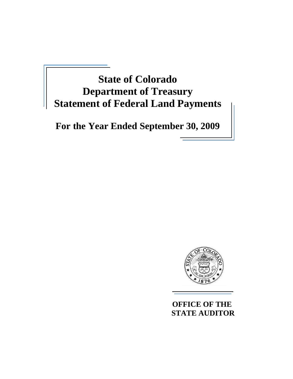# **State of Colorado Department of Treasury Statement of Federal Land Payments**

**For the Year Ended September 30, 2009** 



 **OFFICE OF THE STATE AUDITOR**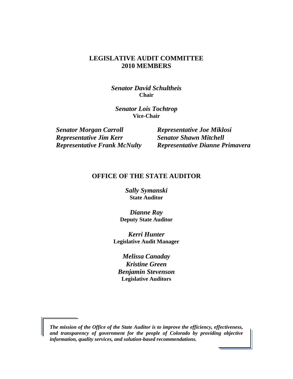#### **LEGISLATIVE AUDIT COMMITTEE 2010 MEMBERS**

*Senator David Schultheis*  **Chair** 

*Senator Lois Tochtrop* **Vice-Chair** 

*Senator Morgan Carroll Representative Joe Miklosi*  **Representative Jim Kerr Senator Shawn Mitchell** 

*Representative Frank McNulty Representative Dianne Primavera* 

#### **OFFICE OF THE STATE AUDITOR**

*Sally Symanski* **State Auditor** 

*Dianne Ray*  **Deputy State Auditor** 

*Kerri Hunter*  **Legislative Audit Manager**

*Melissa Canaday Kristine Green Benjamin Stevenson*  **Legislative Auditors**

*The mission of the Office of the State Auditor is to improve the efficiency, effectiveness, and transparency of government for the people of Colorado by providing objective information, quality services, and solution-based recommendations.*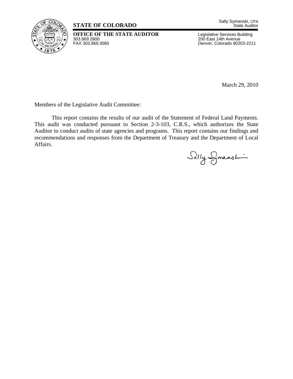

### **STATE OF COLORADO**

**OFFICE OF THE STATE AUDITOR** Legislative Services Building<br>303.869.2800 200 East 14th Avenue 303.869.2800 200 East 14th Avenue

Denver, Colorado 80203-2211

March 29, 2010

Members of the Legislative Audit Committee:

 This report contains the results of our audit of the Statement of Federal Land Payments. This audit was conducted pursuant to Section 2-3-103, C.R.S., which authorizes the State Auditor to conduct audits of state agencies and programs. This report contains our findings and recommendations and responses from the Department of Treasury and the Department of Local Affairs.

Silly Symanst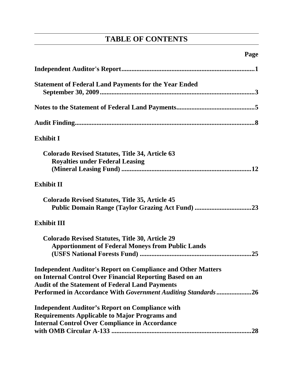# **TABLE OF CONTENTS**

| <b>Statement of Federal Land Payments for the Year Ended</b>                                                                                                                                                                                               |
|------------------------------------------------------------------------------------------------------------------------------------------------------------------------------------------------------------------------------------------------------------|
|                                                                                                                                                                                                                                                            |
|                                                                                                                                                                                                                                                            |
| <b>Exhibit I</b>                                                                                                                                                                                                                                           |
| <b>Colorado Revised Statutes, Title 34, Article 63</b><br><b>Royalties under Federal Leasing</b>                                                                                                                                                           |
| <b>Exhibit II</b>                                                                                                                                                                                                                                          |
| <b>Colorado Revised Statutes, Title 35, Article 45</b><br>Public Domain Range (Taylor Grazing Act Fund) 23                                                                                                                                                 |
| <b>Exhibit III</b>                                                                                                                                                                                                                                         |
| <b>Colorado Revised Statutes, Title 30, Article 29</b><br><b>Apportionment of Federal Moneys from Public Lands</b>                                                                                                                                         |
| <b>Independent Auditor's Report on Compliance and Other Matters</b><br>on Internal Control Over Financial Reporting Based on an<br><b>Audit of the Statement of Federal Land Payments</b><br>Performed in Accordance With Government Auditing Standards 26 |
| <b>Independent Auditor's Report on Compliance with</b><br><b>Requirements Applicable to Major Programs and</b><br><b>Internal Control Over Compliance in Accordance</b><br>.28                                                                             |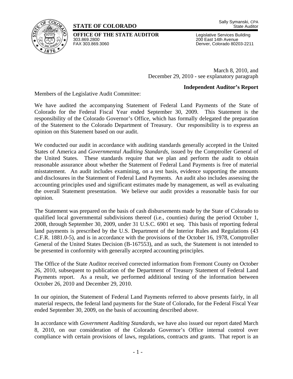### **STATE OF COLORADO**



**OFFICE OF THE STATE AUDITOR** Legislative Services Building<br>303.869.2800<br>200 East 14th Avenue 303.869.2800 200 East 14th Avenue

Denver, Colorado 80203-2211

March 8, 2010, and December 29, 2010 - see explanatory paragraph

#### **Independent Auditor's Report**

Members of the Legislative Audit Committee:

We have audited the accompanying Statement of Federal Land Payments of the State of Colorado for the Federal Fiscal Year ended September 30, 2009. This Statement is the responsibility of the Colorado Governor's Office, which has formally delegated the preparation of the Statement to the Colorado Department of Treasury. Our responsibility is to express an opinion on this Statement based on our audit.

We conducted our audit in accordance with auditing standards generally accepted in the United States of America and *Governmental Auditing Standards,* issued by the Comptroller General of the United States. These standards require that we plan and perform the audit to obtain reasonable assurance about whether the Statement of Federal Land Payments is free of material misstatement. An audit includes examining, on a test basis, evidence supporting the amounts and disclosures in the Statement of Federal Land Payments. An audit also includes assessing the accounting principles used and significant estimates made by management, as well as evaluating the overall Statement presentation. We believe our audit provides a reasonable basis for our opinion.

The Statement was prepared on the basis of cash disbursements made by the State of Colorado to qualified local governmental subdivisions thereof (i.e., counties) during the period October 1, 2008, through September 30, 2009, under 31 U.S.C. 6901 et seq. This basis of reporting federal land payments is prescribed by the U.S. Department of the Interior Rules and Regulations (43 C.F.R. 1881.0-5), and is in accordance with the provisions of the October 16, 1978, Comptroller General of the United States Decision (B-167553), and as such, the Statement is not intended to be presented in conformity with generally accepted accounting principles.

The Office of the State Auditor received corrected information from Fremont County on October 26, 2010, subsequent to publication of the Department of Treasury Statement of Federal Land Payments report. As a result, we performed additional testing of the information between October 26, 2010 and December 29, 2010.

In our opinion, the Statement of Federal Land Payments referred to above presents fairly, in all material respects, the federal land payments for the State of Colorado, for the Federal Fiscal Year ended September 30, 2009, on the basis of accounting described above.

In accordance with *Government Auditing Standards*, we have also issued our report dated March 8, 2010, on our consideration of the Colorado Governor's Office internal control over compliance with certain provisions of laws, regulations, contracts and grants. That report is an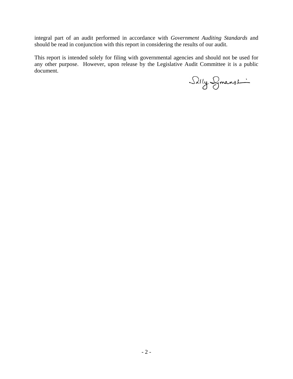integral part of an audit performed in accordance with *Government Auditing Standards* and should be read in conjunction with this report in considering the results of our audit.

This report is intended solely for filing with governmental agencies and should not be used for any other purpose. However, upon release by the Legislative Audit Committee it is a public document.

Selly Symanship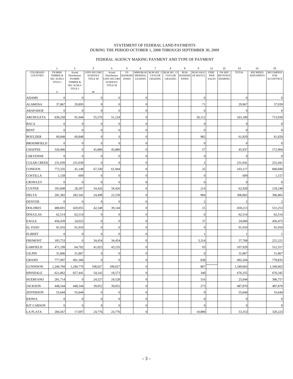#### STATEMENT OF FEDERAL LAND PAYMENTS DURING THE PERIOD OCTOBER 1, 2008 THROUGH SEPTEMBER 30, 2009

#### FEDERAL AGENCY MAKING PAYMENT AND TYPE OF PAYMENT

|                                    | $\mathbf{1}$                       | $\overline{2}$              | 3                                    | $\overline{4}$                       | 5                   | 6                         | $\overline{7}$ | 8                              | 9                           | $\mathbf 0$                 | 11                        | 12                              | 13               | 14                                 | 15                            |
|------------------------------------|------------------------------------|-----------------------------|--------------------------------------|--------------------------------------|---------------------|---------------------------|----------------|--------------------------------|-----------------------------|-----------------------------|---------------------------|---------------------------------|------------------|------------------------------------|-------------------------------|
| <b>COLORADO</b><br><b>COUNTIES</b> | FS/MMS<br>TIMBER &                 | Actual<br>Distribution      | <b>USFS SECURE</b><br><b>SCHOOLS</b> | Actual<br>Distribution               | FS<br><b>BANKHD</b> | MMS/BLM<br><b>MINERAL</b> | <b>TAYLOR</b>  | BLM SEC 3 BLM SEC 15<br>TAYLOR | <b>BLM</b><br><b>BANKHD</b> | <b>BLM SALE</b><br>OF MATLS | <b>FERC</b><br><b>PWR</b> | <b>FW REF</b><br><b>REVENUE</b> | <b>TOTAL</b>     | <b>RECMDED</b><br><b>ADJUSMNTS</b> | <b>RECOMDED</b><br><b>FOR</b> |
|                                    | <b>SEC SCHLS</b><br><b>TITLE I</b> | FS/MMS<br>TIMBER &          | TITLE III                            | <b>USFS SECURE</b><br><b>SCHOOLS</b> | <b>JONES</b>        | LEASING                   | <b>GRAZING</b> | <b>GRAZING</b>                 | <b>JONES</b>                |                             | <b>SALES</b>              | <b>SHARING</b>                  |                  |                                    | <b>ACCEPTNCE</b>              |
|                                    |                                    | <b>SEC SCHLS</b><br>TITLE I |                                      | TITLE III                            |                     |                           |                |                                |                             |                             |                           |                                 |                  |                                    |                               |
|                                    | $\#$                               |                             | $\# \#$                              |                                      |                     |                           |                |                                |                             |                             |                           |                                 |                  |                                    | $\Omega$                      |
| <b>ADAMS</b>                       | $\mathbf{0}$                       | $\mathbf{0}$                | $\mathbf{0}$                         | $\overline{0}$                       |                     | $\overline{0}$            |                |                                |                             | $\boldsymbol{0}$            |                           |                                 | $\overline{0}$   |                                    |                               |
| ALAMOSA                            | 37,867                             | 29,895                      | $\mathbf{0}$                         | $\boldsymbol{0}$                     |                     | $\boldsymbol{0}$          |                |                                |                             | 71                          |                           |                                 | 29,967           |                                    | 37,939                        |
| <b>ARAPAHOE</b>                    | $\mathbf{0}$                       | $\bf{0}$                    | $\mathbf{0}$                         | $\mathbf{0}$                         |                     | $\boldsymbol{0}$          |                |                                |                             | $\mathbf{0}$                |                           |                                 | $\Omega$         |                                    | $\Omega$                      |
| <b>ARCHULETA</b>                   | 638,258                            | 91,944                      | 55,570                               | 51,124                               |                     | $\theta$                  |                |                                |                             | 20,112                      |                           |                                 | 163,180          |                                    | 713,939                       |
| <b>BACA</b>                        | $\boldsymbol{0}$                   | $\Omega$                    | $\mathbf{0}$                         | $\overline{0}$                       |                     | $\overline{0}$            |                |                                |                             | $\mathbf{0}$                |                           |                                 | $\overline{0}$   |                                    | $\overline{0}$                |
| <b>BENT</b>                        | $\mathbf{0}$                       | $\mathbf{0}$                | $\mathbf{0}$                         | $\overline{0}$                       |                     | $\overline{0}$            |                |                                |                             | $\mathbf{0}$                |                           |                                 | $\overline{0}$   |                                    | $\mathbf{0}$                  |
| <b>BOULDER</b>                     | 60,848                             | 60,848                      | $\mathbf{0}$                         | $\theta$                             |                     | $\overline{0}$            |                |                                |                             | 982                         |                           |                                 | 61,829           |                                    | 61,829                        |
| <b>BROOMFIELD</b>                  | $\mathbf{0}$                       | $\mathbf{0}$                | $\mathbf{0}$                         | $\Omega$                             |                     | $\overline{0}$            |                |                                |                             | $\boldsymbol{0}$            |                           |                                 | $\overline{0}$   |                                    | $\overline{0}$                |
| <b>CHAFFEE</b>                     | 526,966                            | $\mathbf{0}$                | 45,880                               | 45,880                               |                     | $\overline{0}$            |                |                                |                             | 57                          |                           |                                 | 45,937           |                                    | 572,904                       |
| <b>CHEYENNE</b>                    | $\mathbf{0}$                       | $\Omega$                    | $\mathbf{0}$                         | $\overline{0}$                       |                     | $\overline{0}$            |                |                                |                             | $\mathbf{0}$                |                           |                                 | $\overline{0}$   |                                    | $\Omega$                      |
| <b>CLEAR CREEK</b>                 | 231,039                            | 231,039                     | $\mathbf{0}$                         | $\theta$                             |                     | $\theta$                  |                |                                |                             | $\overline{c}$              |                           |                                 | 231,041          |                                    | 231,041                       |
| <b>CONEJOS</b>                     | 773,335                            | 41,148                      | 67,330                               | 61,944                               |                     | $\boldsymbol{0}$          |                |                                |                             | 25                          |                           |                                 | 103,117          |                                    | 840,690                       |
| <b>COSTILLA</b>                    | 1,158                              | 609                         | $\mathbf{0}$                         | $\boldsymbol{0}$                     |                     | $\overline{0}$            |                |                                |                             | $\mathbf{0}$                |                           |                                 | 609              |                                    | 1,157                         |
| CROWLEY                            | $\mathbf{0}$                       | $\overline{0}$              | $\mathbf{0}$                         | $\overline{0}$                       |                     | $\overline{0}$            |                |                                |                             | $\mathbf{0}$                |                           |                                 | $\boldsymbol{0}$ |                                    | $\overline{0}$                |
| <b>CUSTER</b>                      | 183,608                            | 28,287                      | 34,426                               | 34,426                               |                     | $\overline{0}$            |                |                                |                             | 214                         |                           |                                 | 62,928           |                                    | 218,248                       |
| <b>DELTA</b>                       | 281,382                            | 283,342                     | 24,498                               | 22,539                               |                     | $\overline{0}$            |                |                                |                             | 984                         |                           |                                 | 306,865          |                                    | 306,865                       |
| <b>DENVER</b>                      | $\boldsymbol{0}$                   | $\overline{0}$              | $\boldsymbol{0}$                     | $\overline{0}$                       |                     | $\overline{0}$            |                |                                |                             | $\sqrt{2}$                  |                           |                                 | $\overline{c}$   |                                    | $\overline{c}$                |
| <b>DOLORES</b>                     | 488,691                            | 420,055                     | 42,548                               | 39,144                               |                     | $\boldsymbol{0}$          |                |                                |                             | 15                          |                           |                                 | 459,213          |                                    | 531,253                       |
| <b>DOUGLAS</b>                     | 62,514                             | 62,514                      | $\mathbf{0}$                         | $\boldsymbol{0}$                     |                     | $\boldsymbol{0}$          |                |                                |                             | $\mathbf{0}$                |                           |                                 | 62,514           |                                    | 62,514                        |
| EAGLE                              | 456,439                            | 24,023                      | $\mathbf{0}$                         | $\Omega$                             |                     | $\boldsymbol{0}$          |                |                                |                             | 37                          |                           |                                 | 24,060           |                                    | 456,475                       |
| <b>EL PASO</b>                     | 91,910                             | 91,910                      | $\mathbf{0}$                         | $\overline{0}$                       |                     | $\overline{0}$            |                |                                |                             | $\mathbf{0}$                |                           |                                 | 91,910           |                                    | 91,910                        |
| <b>ELBERT</b>                      | $\boldsymbol{0}$                   | $\mathbf{0}$                | $\mathbf{0}$                         | $\overline{0}$                       |                     | $\overline{0}$            |                |                                |                             | 1                           |                           |                                 |                  |                                    | $\mathbf{1}$                  |
| FREMONT                            | 183,753                            | $\mathbf{0}$                | 34,454                               | 34,454                               |                     | $\overline{0}$            |                |                                |                             | 3,314                       |                           |                                 | 37,768           |                                    | 221,521                       |
| <b>GARFIELD</b>                    | 471,199                            | 64,702                      | 41,025                               | 43,135                               |                     | $\overline{0}$            |                |                                |                             | 93                          |                           |                                 | 107,929          |                                    | 512,317                       |
| <b>GILPIN</b>                      | 31,866                             | 31,867                      | $\mathbf{0}$                         | $\overline{0}$                       |                     | $\overline{0}$            |                |                                |                             | $\mathbf{0}$                |                           |                                 | 31,867           |                                    | 31,867                        |
| <b>GRAND</b>                       | 777,997                            | 491,366                     | $\mathbf{0}$                         | $\Omega$                             |                     | $\overline{0}$            |                |                                |                             | 838                         |                           |                                 | 492,204          |                                    | 778,835                       |
| <b>GUNNISON</b>                    | 1,240,769                          | 1,240,770                   | 108,027                              | 108,027                              |                     | $\boldsymbol{0}$          |                |                                |                             | 867                         |                           |                                 | 1,349,663        |                                    | 1,349,663                     |
| <b>HINSDALE</b>                    | 621,862                            | 657,441                     | 54,142                               | 18,573                               |                     | $\boldsymbol{0}$          |                |                                |                             | 340                         |                           |                                 | 676,355          |                                    | 676,345                       |
| <b>HUERFANO</b>                    | 281,714                            | $\mathbf{0}$                | 24,527                               | 24,528                               |                     | $\mathbf{0}$              |                |                                |                             | 516                         |                           |                                 | 25,044           |                                    | 306,757                       |
| <b>JACKSON</b>                     | 448,544                            | 448,544                     | 39,052                               | 39,052                               |                     | $\overline{0}$            |                |                                |                             | 273                         |                           |                                 | 487,870          |                                    | 487,870                       |
| <b>JEFFERSON</b>                   | 55,644                             | 55,644                      | $\mathbf{0}$                         | $\mathbf{0}$                         |                     | $\overline{0}$            |                |                                |                             | $\mathbf{0}$                |                           |                                 | 55,644           |                                    | 55,644                        |
| <b>KIOWA</b>                       | $\boldsymbol{0}$                   | $\boldsymbol{0}$            | $\mathbf{0}$                         | $\overline{0}$                       |                     | $\overline{0}$            |                |                                |                             | $\mathbf{0}$                |                           |                                 | $\boldsymbol{0}$ |                                    | $\mathbf{0}$                  |
| <b>KIT CARSON</b>                  | $\boldsymbol{0}$                   | $\mathbf{0}$                | $\mathbf{0}$                         | $\overline{0}$                       |                     | $\overline{0}$            |                |                                |                             | $\mathbf{0}$                |                           |                                 | $\theta$         |                                    | $\Omega$                      |
| <b>LA PLATA</b>                    | 284,567                            | 17,697                      | 24,776                               | 24,776                               |                     | $\boldsymbol{0}$          |                |                                |                             | 10,880                      |                           |                                 | 53,353           |                                    | 320,223                       |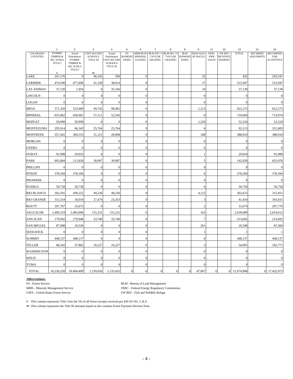|                                    | $\mathbf{1}$                                             | $\overline{2}$                                                   | 3                                                                                                                                                                                                           | 4                                                                           | 5                                   | 6                                    | $\overline{7}$                  | 8                                                | 9                                           | 0                           | 11                                        | 12                                                | 13             | 14                                 | 15                                                |
|------------------------------------|----------------------------------------------------------|------------------------------------------------------------------|-------------------------------------------------------------------------------------------------------------------------------------------------------------------------------------------------------------|-----------------------------------------------------------------------------|-------------------------------------|--------------------------------------|---------------------------------|--------------------------------------------------|---------------------------------------------|-----------------------------|-------------------------------------------|---------------------------------------------------|----------------|------------------------------------|---------------------------------------------------|
| <b>COLORADO</b><br><b>COUNTIES</b> | FS/MMS<br>TIMBER &<br><b>SEC SCHLS</b><br><b>TITLE I</b> | Actual<br>Distribution<br>FS/MMS<br>TIMBER &<br><b>SEC SCHLS</b> | <b>USFS SECURE</b><br><b>SCHOOLS</b><br>$\ensuremath{\mathsf{T}}\ensuremath{\mathsf{T}}\ensuremath{\mathsf{T}}\ensuremath{\mathsf{L}}\ensuremath{\mathsf{E}}\ensuremath{\mathsf{I}}\ensuremath{\mathsf{H}}$ | Actual<br>Distribution<br><b>USFS SECURE</b><br><b>SCHOOLS</b><br>TITLE III | FS<br><b>BANKHD</b><br><b>JONES</b> | MMS/BLM<br><b>MINERAL</b><br>LEASING | <b>TAYLOR</b><br><b>GRAZING</b> | BLM SEC 3 BLM SEC 15<br><b>TAYLOR</b><br>GRAZING | <b>BLM</b><br><b>BANKHD</b><br><b>JONES</b> | <b>BLM SALE</b><br>OF MATLS | <b>FERC</b><br><b>PWR</b><br><b>SALES</b> | <b>FW REF</b><br><b>REVENUE</b><br><b>SHARING</b> | <b>TOTAL</b>   | <b>RECMDED</b><br><b>ADJUSMNTS</b> | <b>RECOMDED</b><br><b>FOR</b><br><b>ACCEPTNCE</b> |
|                                    | #                                                        | TITLE I                                                          | ##                                                                                                                                                                                                          |                                                                             |                                     |                                      |                                 |                                                  |                                             |                             |                                           |                                                   |                |                                    |                                                   |
| LAKE                               | 247,176                                                  | $\mathbf{0}$                                                     | 46,345                                                                                                                                                                                                      | 399                                                                         |                                     | $\mathbf{0}$                         |                                 |                                                  |                                             | 25                          |                                           |                                                   | 425            |                                    | 293,547                                           |
| <b>LARIMER</b>                     | 474,590                                                  | 477,896                                                          | 41,320                                                                                                                                                                                                      | 38,014                                                                      |                                     | $\overline{0}$                       |                                 |                                                  |                                             | 37                          |                                           |                                                   | 515,947        |                                    | 515,947                                           |
| <b>LAS ANIMAS</b>                  | 37,120                                                   | 1,954                                                            | $\boldsymbol{0}$                                                                                                                                                                                            | 35,166                                                                      |                                     | $\overline{0}$                       |                                 |                                                  |                                             | 19                          |                                           |                                                   | 37,139         |                                    | 37,139                                            |
| <b>LINCOLN</b>                     | $\mathbf{0}$                                             | $\boldsymbol{0}$                                                 | $\boldsymbol{0}$                                                                                                                                                                                            | $\overline{0}$                                                              |                                     | $\mathbf{0}$                         |                                 |                                                  |                                             | $\boldsymbol{0}$            |                                           |                                                   | $\overline{0}$ |                                    | $\mathbf 0$                                       |
| LOGAN                              | $\mathbf{0}$                                             | $\mathbf{0}$                                                     | $\mathbf{0}$                                                                                                                                                                                                | $\theta$                                                                    |                                     | $\overline{0}$                       |                                 |                                                  |                                             | $\mathbf{0}$                |                                           |                                                   | $\overline{0}$ |                                    | $\overline{0}$                                    |
| MESA                               | 571,320                                                  | 523,000                                                          | 49,742                                                                                                                                                                                                      | 98,062                                                                      |                                     | $\mathbf{0}$                         |                                 |                                                  |                                             | 1,213                       |                                           |                                                   | 622,275        |                                    | 622,275                                           |
| <b>MINERAL</b>                     | 655,962                                                  | 658,061                                                          | 57,111                                                                                                                                                                                                      | 52,543                                                                      |                                     | $\overline{0}$                       |                                 |                                                  |                                             | $\Omega$                    |                                           |                                                   | 710,604        |                                    | 713,074                                           |
| <b>MOFFAT</b>                      | 50,999                                                   | 50,999                                                           | $\boldsymbol{0}$                                                                                                                                                                                            | $\mathbf{0}$                                                                |                                     | $\overline{0}$                       |                                 |                                                  |                                             | 1,226                       |                                           |                                                   | 52,224         |                                    | 52,224                                            |
| <b>MONTEZUMA</b>                   | 295,914                                                  | 66,343                                                           | 25,764                                                                                                                                                                                                      | 25,764                                                                      |                                     | $\mathbf{0}$                         |                                 |                                                  |                                             | 6                           |                                           |                                                   | 92,113         |                                    | 321,683                                           |
| <b>MONTROSE</b>                    | 357,441                                                  | 360,553                                                          | 31,121                                                                                                                                                                                                      | 28,008                                                                      |                                     | $\overline{0}$                       |                                 |                                                  |                                             | 348                         |                                           |                                                   | 388,910        |                                    | 388,910                                           |
| <b>MORGAN</b>                      | $\mathbf{0}$                                             | $\boldsymbol{0}$                                                 | $\boldsymbol{0}$                                                                                                                                                                                            | $\overline{0}$                                                              |                                     | $\overline{0}$                       |                                 |                                                  |                                             | $\boldsymbol{0}$            |                                           |                                                   | $\theta$       |                                    | $\mathbf 0$                                       |
| <b>OTERO</b>                       | $\mathbf{0}$                                             | $\mathbf{0}$                                                     | $\mathbf{0}$                                                                                                                                                                                                | $\theta$                                                                    |                                     | $\overline{0}$                       |                                 |                                                  |                                             | $\mathbf{0}$                |                                           |                                                   | $\Omega$       |                                    | $\mathbf 0$                                       |
| OURAY                              | 91,908                                                   | 29,023                                                           | $\boldsymbol{0}$                                                                                                                                                                                            | $\theta$                                                                    |                                     | $\mathbf{0}$                         |                                 |                                                  |                                             | 1                           |                                           |                                                   | 29,024         |                                    | 91,908                                            |
| PARK                               | 605,884                                                  | 112,828                                                          | 30,087                                                                                                                                                                                                      | 30,087                                                                      |                                     | $\overline{0}$                       |                                 |                                                  |                                             | 5                           |                                           |                                                   | 142,920        |                                    | 635,976                                           |
| <b>PHILLIPS</b>                    | $\mathbf{0}$                                             | $\boldsymbol{0}$                                                 | $\mathbf{0}$                                                                                                                                                                                                | $\boldsymbol{0}$                                                            |                                     | $\mathbf{0}$                         |                                 |                                                  |                                             | $\mathbf{0}$                |                                           |                                                   | $\overline{0}$ |                                    | $\mathbf 0$                                       |
| <b>PITKIN</b>                      | 378,394                                                  | 378,394                                                          | $\mathbf{0}$                                                                                                                                                                                                | $\mathbf{0}$                                                                |                                     | $\mathbf{0}$                         |                                 |                                                  |                                             | $\mathbf{0}$                |                                           |                                                   | 378,394        |                                    | 378,394                                           |
| <b>PROWERS</b>                     | $\mathbf{0}$                                             | $\mathbf{0}$                                                     | $\mathbf{0}$                                                                                                                                                                                                | $\theta$                                                                    |                                     | $\overline{0}$                       |                                 |                                                  |                                             | $\mathbf{0}$                |                                           |                                                   | $\theta$       |                                    | $\mathbf 0$                                       |
| <b>PUEBLO</b>                      | 50,758                                                   | 50,758                                                           | $\boldsymbol{0}$                                                                                                                                                                                            | $\mathbf{0}$                                                                |                                     | $\mathbf{0}$                         |                                 |                                                  |                                             | $\mathbf{0}$                |                                           |                                                   | 50,758         |                                    | 50,758                                            |
| <b>RIO BLANCO</b>                  | 262,591                                                  | 209,252                                                          | 49,236                                                                                                                                                                                                      | 49,236                                                                      |                                     | $\overline{0}$                       |                                 |                                                  |                                             | 4,125                       |                                           |                                                   | 262,613        |                                    | 315,951                                           |
| <b>RIO GRANDE</b>                  | 315,554                                                  | 18,054                                                           | 27,474                                                                                                                                                                                                      | 23,353                                                                      |                                     | $\overline{0}$                       |                                 |                                                  |                                             | 3                           |                                           |                                                   | 41,410         |                                    | 343,031                                           |
| <b>ROUTT</b>                       | 297,767                                                  | 15,672                                                           | $\boldsymbol{0}$                                                                                                                                                                                            | $\overline{0}$                                                              |                                     | $\boldsymbol{0}$                     |                                 |                                                  |                                             | $\boldsymbol{2}$            |                                           |                                                   | 15,674         |                                    | 297,770                                           |
| <b>SAGUACHE</b>                    | 2,499,219                                                | 2,483,696                                                        | 155,231                                                                                                                                                                                                     | 155,231                                                                     |                                     | $\overline{0}$                       |                                 |                                                  |                                             | 162                         |                                           |                                                   | 2,639,089      |                                    | 2,654,612                                         |
| <b>SAN JUAN</b>                    | 179,945                                                  | 179,946                                                          | 33,740                                                                                                                                                                                                      | 33,740                                                                      |                                     | $\mathbf{0}$                         |                                 |                                                  |                                             | $\tau$                      |                                           |                                                   | 213,692        |                                    | 213,692                                           |
| <b>SAN MIGUEL</b>                  | 87,098                                                   | 18,336                                                           | $\mathbf{0}$                                                                                                                                                                                                | $\overline{0}$                                                              |                                     | $\overline{0}$                       |                                 |                                                  |                                             | 261                         |                                           |                                                   | 18,598         |                                    | 87,360                                            |
| <b>SEDGWICK</b>                    | $\boldsymbol{0}$                                         | $\boldsymbol{0}$                                                 | $\mathbf{0}$                                                                                                                                                                                                | $\overline{0}$                                                              |                                     | $\mathbf{0}$                         |                                 |                                                  |                                             | 1                           |                                           |                                                   |                |                                    | $\mathbf{1}$                                      |
| <b>SUMMIT</b>                      | 448,137                                                  | 448,137                                                          | $\mathbf{0}$                                                                                                                                                                                                | $\theta$                                                                    |                                     | $\overline{0}$                       |                                 |                                                  |                                             | $\mathbf{0}$                |                                           |                                                   | 448,137        |                                    | 448,137                                           |
| <b>TELLER</b>                      | 86,542                                                   | 37,862                                                           | 16,227                                                                                                                                                                                                      | 16,227                                                                      |                                     | $\overline{0}$                       |                                 |                                                  |                                             | 3                           |                                           |                                                   | 54,091         |                                    | 102,771                                           |
| WASHINGTON                         | $\mathbf{0}$                                             | $\boldsymbol{0}$                                                 | $\boldsymbol{0}$                                                                                                                                                                                            | $\mathbf{0}$                                                                |                                     | $\mathbf{0}$                         |                                 |                                                  |                                             | $\boldsymbol{0}$            |                                           |                                                   | $\overline{0}$ |                                    | $\mathbf 0$                                       |
| WELD                               | $\mathbf{0}$                                             | $\boldsymbol{0}$                                                 | $\mathbf{0}$                                                                                                                                                                                                | $\overline{0}$                                                              |                                     | $\overline{0}$                       |                                 |                                                  |                                             | $\mathbf{0}$                |                                           |                                                   | $\Omega$       |                                    | $\mathbf 0$                                       |
| <b>YUMA</b>                        | $\mathbf{0}$                                             | $\overline{0}$                                                   | $\mathbf{0}$                                                                                                                                                                                                | $\overline{0}$                                                              |                                     | $\overline{0}$                       |                                 |                                                  |                                             | $\mathbf{0}$                |                                           |                                                   | $\Omega$       |                                    | $\mathbf 0$                                       |
| <b>TOTAL</b>                       | 16,226,250                                               | 10,494,409                                                       | 1,159,656                                                                                                                                                                                                   | 1,133,432                                                                   | $\overline{0}$                      | 6                                    | $\mathbf{0}$                    | $\boldsymbol{0}$                                 | $\overline{0}$                              | 47,067                      | $\overline{0}$                            |                                                   | 0 11,674,908   |                                    | 0 17,432,973                                      |

#### **Abbreviations:**

USFS - United States Forest Service FW REF - Fish and Wildlife Refuge

FS - Forest Service BLM - Bureau of Land Management MMS - Minerals Management Service FERC - Federal Energy Regulatory Commission

# This column represents Title I less the 5% of all forest receipts received per §30-29-101, C.R.S.

## This column represents the Title III amounts based on the counties Forest Payment Election form.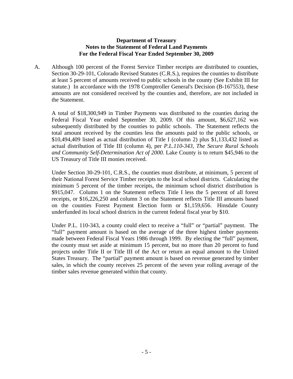#### **Department of Treasury Notes to the Statement of Federal Land Payments For the Federal Fiscal Year Ended September 30, 2009**

A. Although 100 percent of the Forest Service Timber receipts are distributed to counties, Section 30-29-101, Colorado Revised Statutes (C.R.S.), requires the counties to distribute at least 5 percent of amounts received to public schools in the county (See Exhibit III for statute.) In accordance with the 1978 Comptroller General's Decision (B-167553), these amounts are not considered received by the counties and, therefore, are not included in the Statement.

A total of \$18,300,949 in Timber Payments was distributed to the counties during the Federal Fiscal Year ended September 30, 2009. Of this amount, \$6,627,162 was subsequently distributed by the counties to public schools. The Statement reflects the total amount received by the counties less the amounts paid to the public schools, or \$10,494,409 listed as actual distribution of Title I (column 2) plus \$1,133,432 listed as actual distribution of Title III (column 4), per *P.L.110-343, The Secure Rural Schools and Community Self-Determination Act of 2000.* Lake County is to return \$45,946 to the US Treasury of Title III monies received.

Under Section 30-29-101, C.R.S., the counties must distribute, at minimum, 5 percent of their National Forest Service Timber receipts to the local school districts. Calculating the minimum 5 percent of the timber receipts, the minimum school district distribution is \$915,047. Column 1 on the Statement reflects Title I less the 5 percent of all forest receipts, or \$16,226,250 and column 3 on the Statement reflects Title III amounts based on the counties Forest Payment Election form or \$1,159,656. Hinsdale County underfunded its local school districts in the current federal fiscal year by \$10.

Under P.L. 110-343, a county could elect to receive a "full" or "partial" payment. The "full" payment amount is based on the average of the three highest timber payments made between Federal Fiscal Years 1986 through 1999. By electing the "full" payment, the county must set aside at minimum 15 percent, but no more than 20 percent to fund projects under Title II or Title III of the Act or return an equal amount to the United States Treasury. The "partial" payment amount is based on revenue generated by timber sales, in which the county receives 25 percent of the seven year rolling average of the timber sales revenue generated within that county.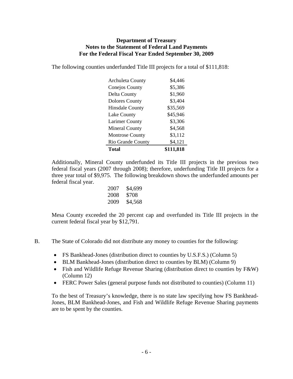#### **Department of Treasury Notes to the Statement of Federal Land Payments For the Federal Fiscal Year Ended September 30, 2009**

The following counties underfunded Title III projects for a total of \$111,818:

| <b>Archuleta County</b> | \$4.446   |
|-------------------------|-----------|
| <b>Conejos County</b>   | \$5,386   |
| Delta County            | \$1,960   |
| <b>Dolores County</b>   | \$3,404   |
| <b>Hinsdale County</b>  | \$35,569  |
| <b>Lake County</b>      | \$45,946  |
| <b>Larimer County</b>   | \$3,306   |
| <b>Mineral County</b>   | \$4,568   |
| <b>Montrose County</b>  | \$3,112   |
| Rio Grande County       | \$4,121   |
| Total                   | \$111,818 |

Additionally, Mineral County underfunded its Title III projects in the previous two federal fiscal years (2007 through 2008); therefore, underfunding Title III projects for a three year total of \$9,975. The following breakdown shows the underfunded amounts per federal fiscal year.

| 2007 | \$4,699 |
|------|---------|
| 2008 | \$708   |
| 2009 | \$4,568 |

Mesa County exceeded the 20 percent cap and overfunded its Title III projects in the current federal fiscal year by \$12,791.

- B. The State of Colorado did not distribute any money to counties for the following:
	- FS Bankhead-Jones (distribution direct to counties by U.S.F.S.) (Column 5)
	- BLM Bankhead-Jones (distribution direct to counties by BLM) (Column 9)
	- Fish and Wildlife Refuge Revenue Sharing (distribution direct to counties by F&W) (Column 12)
	- FERC Power Sales (general purpose funds not distributed to counties) (Column 11)

To the best of Treasury's knowledge, there is no state law specifying how FS Bankhead-Jones, BLM Bankhead-Jones, and Fish and Wildlife Refuge Revenue Sharing payments are to be spent by the counties.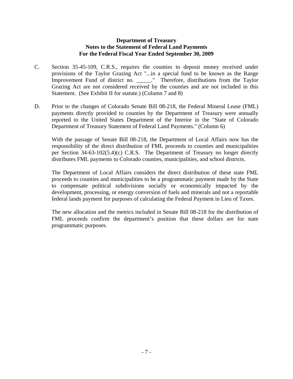#### **Department of Treasury Notes to the Statement of Federal Land Payments For the Federal Fiscal Year Ended September 30, 2009**

- C. Section 35-45-109, C.R.S., requires the counties to deposit money received under provisions of the Taylor Grazing Act "...in a special fund to be known as the Range Improvement Fund of district no. \_\_\_\_\_." Therefore, distributions from the Taylor Grazing Act are not considered received by the counties and are not included in this Statement. (See Exhibit II for statute.) (Column 7 and 8)
- D. Prior to the changes of Colorado Senate Bill 08-218, the Federal Mineral Lease (FML) payments directly provided to counties by the Department of Treasury were annually reported to the United States Department of the Interior in the "State of Colorado Department of Treasury Statement of Federal Land Payments." (Column 6)

With the passage of Senate Bill 08-218, the Department of Local Affairs now has the responsibility of the direct distribution of FML proceeds to counties and municipalities per Section 34-63-102(5.4)(c) C.R.S. The Department of Treasury no longer directly distributes FML payments to Colorado counties, municipalities, and school districts.

The Department of Local Affairs considers the direct distribution of these state FML proceeds to counties and municipalities to be a programmatic payment made by the State to compensate political subdivisions socially or economically impacted by the development, processing, or energy conversion of fuels and minerals and not a reportable federal lands payment for purposes of calculating the Federal Payment in Lieu of Taxes.

The new allocation and the metrics included in Senate Bill 08-218 for the distribution of FML proceeds confirm the department's position that these dollars are for state programmatic purposes.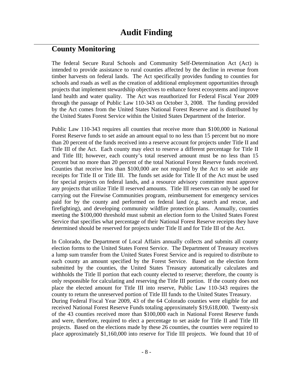### **County Monitoring**

The federal Secure Rural Schools and Community Self-Determination Act (Act) is intended to provide assistance to rural counties affected by the decline in revenue from timber harvests on federal lands. The Act specifically provides funding to counties for schools and roads as well as the creation of additional employment opportunities through projects that implement stewardship objectives to enhance forest ecosystems and improve land health and water quality. The Act was reauthorized for Federal Fiscal Year 2009 through the passage of Public Law 110-343 on October 3, 2008. The funding provided by the Act comes from the United States National Forest Reserve and is distributed by the United States Forest Service within the United States Department of the Interior.

Public Law 110-343 requires all counties that receive more than \$100,000 in National Forest Reserve funds to set aside an amount equal to no less than 15 percent but no more than 20 percent of the funds received into a reserve account for projects under Title II and Title III of the Act. Each county may elect to reserve a different percentage for Title II and Title III; however, each county's total reserved amount must be no less than 15 percent but no more than 20 percent of the total National Forest Reserve funds received. Counties that receive less than \$100,000 are not required by the Act to set aside any receipts for Title II or Title III. The funds set aside for Title II of the Act must be used for special projects on federal lands, and a resource advisory committee must approve any projects that utilize Title II reserved amounts. Title III reserves can only be used for carrying out the Firewise Communities program, reimbursement for emergency services paid for by the county and performed on federal land (e.g. search and rescue, and firefighting), and developing community wildfire protection plans. Annually, counties meeting the \$100,000 threshold must submit an election form to the United States Forest Service that specifies what percentage of their National Forest Reserve receipts they have determined should be reserved for projects under Title II and for Title III of the Act.

In Colorado, the Department of Local Affairs annually collects and submits all county election forms to the United States Forest Service. The Department of Treasury receives a lump sum transfer from the United States Forest Service and is required to distribute to each county an amount specified by the Forest Service. Based on the election form submitted by the counties, the United States Treasury automatically calculates and withholds the Title II portion that each county elected to reserve; therefore, the county is only responsible for calculating and reserving the Title III portion. If the county does not place the elected amount for Title III into reserve, Public Law 110-343 requires the county to return the unreserved portion of Title III funds to the United States Treasury. During Federal Fiscal Year 2009, 43 of the 64 Colorado counties were eligible for and received National Forest Reserve Funds totaling approximately \$19,618,000. Twenty-six of the 43 counties received more than \$100,000 each in National Forest Reserve funds and were, therefore, required to elect a percentage to set aside for Title II and Title III projects. Based on the elections made by these 26 counties, the counties were required to place approximately \$1,160,000 into reserve for Title III projects. We found that 10 of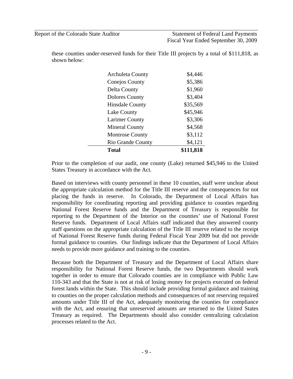Report of the Colorado State Auditor Statement of Federal Land Payments Fiscal Year Ended September 30, 2009

these counties under-reserved funds for their Title III projects by a total of \$111,818, as shown below:

| Total                    | \$111,818 |
|--------------------------|-----------|
| <b>Rio Grande County</b> | \$4,121   |
| <b>Montrose County</b>   | \$3,112   |
| <b>Mineral County</b>    | \$4,568   |
| <b>Larimer County</b>    | \$3,306   |
| <b>Lake County</b>       | \$45,946  |
| <b>Hinsdale County</b>   | \$35,569  |
| <b>Dolores County</b>    | \$3,404   |
| Delta County             | \$1,960   |
| <b>Conejos County</b>    | \$5,386   |
| <b>Archuleta County</b>  | \$4,446   |

Prior to the completion of our audit, one county (Lake) returned \$45,946 to the United States Treasury in accordance with the Act.

Based on interviews with county personnel in these 10 counties, staff were unclear about the appropriate calculation method for the Title III reserve and the consequences for not placing the funds in reserve. In Colorado, the Department of Local Affairs has responsibility for coordinating reporting and providing guidance to counties regarding National Forest Reserve funds and the Department of Treasury is responsible for reporting to the Department of the Interior on the counties' use of National Forest Reserve funds. Department of Local Affairs staff indicated that they answered county staff questions on the appropriate calculation of the Title III reserve related to the receipt of National Forest Reserve funds during Federal Fiscal Year 2009 but did not provide formal guidance to counties. Our findings indicate that the Department of Local Affairs needs to provide more guidance and training to the counties.

Because both the Department of Treasury and the Department of Local Affairs share responsibility for National Forest Reserve funds, the two Departments should work together in order to ensure that Colorado counties are in compliance with Public Law 110-343 and that the State is not at risk of losing money for projects executed on federal forest lands within the State. This should include providing formal guidance and training to counties on the proper calculation methods and consequences of not reserving required amounts under Title III of the Act, adequately monitoring the counties for compliance with the Act, and ensuring that unreserved amounts are returned to the United States Treasury as required. The Departments should also consider centralizing calculation processes related to the Act.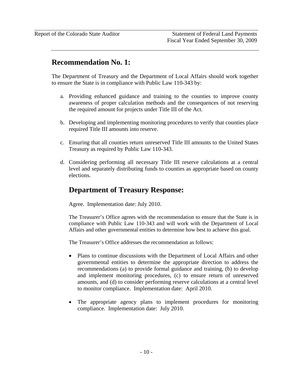### **Recommendation No. 1:**

The Department of Treasury and the Department of Local Affairs should work together to ensure the State is in compliance with Public Law 110-343 by:

- a. Providing enhanced guidance and training to the counties to improve county awareness of proper calculation methods and the consequences of not reserving the required amount for projects under Title III of the Act.
- b. Developing and implementing monitoring procedures to verify that counties place required Title III amounts into reserve.
- c. Ensuring that all counties return unreserved Title III amounts to the United States Treasury as required by Public Law 110-343.
- d. Considering performing all necessary Title III reserve calculations at a central level and separately distributing funds to counties as appropriate based on county elections.

### **Department of Treasury Response:**

Agree. Implementation date: July 2010.

The Treasurer's Office agrees with the recommendation to ensure that the State is in compliance with Public Law 110-343 and will work with the Department of Local Affairs and other governmental entities to determine how best to achieve this goal.

The Treasurer's Office addresses the recommendation as follows:

- Plans to continue discussions with the Department of Local Affairs and other governmental entities to determine the appropriate direction to address the recommendations (a) to provide formal guidance and training, (b) to develop and implement monitoring procedures, (c) to ensure return of unreserved amounts, and (d) to consider performing reserve calculations at a central level to monitor compliance. Implementation date: April 2010.
- The appropriate agency plans to implement procedures for monitoring compliance. Implementation date: July 2010.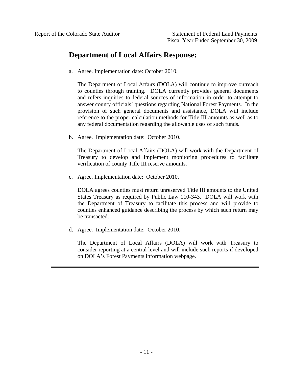## **Department of Local Affairs Response:**

a. Agree. Implementation date: October 2010.

The Department of Local Affairs (DOLA) will continue to improve outreach to counties through training. DOLA currently provides general documents and refers inquiries to federal sources of information in order to attempt to answer county officials' questions regarding National Forest Payments. In the provision of such general documents and assistance, DOLA will include reference to the proper calculation methods for Title III amounts as well as to any federal documentation regarding the allowable uses of such funds.

b. Agree. Implementation date: October 2010.

The Department of Local Affairs (DOLA) will work with the Department of Treasury to develop and implement monitoring procedures to facilitate verification of county Title III reserve amounts.

c. Agree. Implementation date: October 2010.

DOLA agrees counties must return unreserved Title III amounts to the United States Treasury as required by Public Law 110-343. DOLA will work with the Department of Treasury to facilitate this process and will provide to counties enhanced guidance describing the process by which such return may be transacted.

d. Agree. Implementation date: October 2010.

The Department of Local Affairs (DOLA) will work with Treasury to consider reporting at a central level and will include such reports if developed on DOLA's Forest Payments information webpage.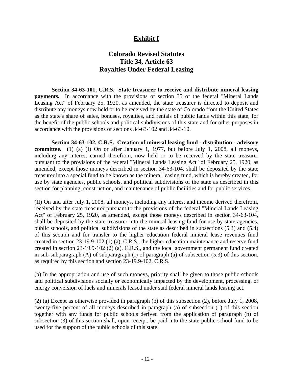### **Exhibit I**

### **Colorado Revised Statutes Title 34, Article 63 Royalties Under Federal Leasing**

**Section 34-63-101, C.R.S. State treasurer to receive and distribute mineral leasing payments.** In accordance with the provisions of section 35 of the federal "Mineral Lands Leasing Act" of February 25, 1920, as amended, the state treasurer is directed to deposit and distribute any moneys now held or to be received by the state of Colorado from the United States as the state's share of sales, bonuses, royalties, and rentals of public lands within this state, for the benefit of the public schools and political subdivisions of this state and for other purposes in accordance with the provisions of sections 34-63-102 and 34-63-10.

**Section 34-63-102, C.R.S. Creation of mineral leasing fund - distribution - advisory committee.** (1) (a) (I) On or after January 1, 1977, but before July 1, 2008, all moneys, including any interest earned therefrom, now held or to be received by the state treasurer pursuant to the provisions of the federal "Mineral Lands Leasing Act" of February 25, 1920, as amended, except those moneys described in section 34-63-104, shall be deposited by the state treasurer into a special fund to be known as the mineral leasing fund, which is hereby created, for use by state agencies, public schools, and political subdivisions of the state as described in this section for planning, construction, and maintenance of public facilities and for public services.

(II) On and after July 1, 2008, all moneys, including any interest and income derived therefrom, received by the state treasurer pursuant to the provisions of the federal "Mineral Lands Leasing Act" of February 25, 1920, as amended, except those moneys described in section 34-63-104, shall be deposited by the state treasurer into the mineral leasing fund for use by state agencies, public schools, and political subdivisions of the state as described in subsections (5.3) and (5.4) of this section and for transfer to the higher education federal mineral lease revenues fund created in section 23-19.9-102 (1) (a), C.R.S., the higher education maintenance and reserve fund created in section 23-19.9-102 (2) (a), C.R.S., and the local government permanent fund created in sub-subparagraph (A) of subparagraph (I) of paragraph (a) of subsection (5.3) of this section, as required by this section and section 23-19.9-102, C.R.S.

(b) In the appropriation and use of such moneys, priority shall be given to those public schools and political subdivisions socially or economically impacted by the development, processing, or energy conversion of fuels and minerals leased under said federal mineral lands leasing act.

(2) (a) Except as otherwise provided in paragraph (b) of this subsection (2), before July 1, 2008, twenty-five percent of all moneys described in paragraph (a) of subsection (1) of this section together with any funds for public schools derived from the application of paragraph (b) of subsection (3) of this section shall, upon receipt, be paid into the state public school fund to be used for the support of the public schools of this state.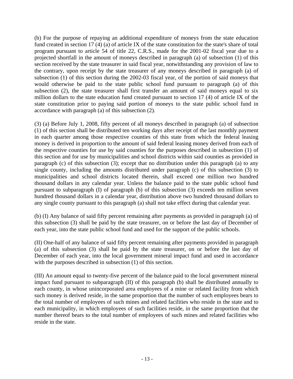(b) For the purpose of repaying an additional expenditure of moneys from the state education fund created in section 17 (4) (a) of article IX of the state constitution for the state's share of total program pursuant to article 54 of title 22, C.R.S., made for the 2001-02 fiscal year due to a projected shortfall in the amount of moneys described in paragraph (a) of subsection (1) of this section received by the state treasurer in said fiscal year, notwithstanding any provision of law to the contrary, upon receipt by the state treasurer of any moneys described in paragraph (a) of subsection (1) of this section during the 2002-03 fiscal year, of the portion of said moneys that would otherwise be paid to the state public school fund pursuant to paragraph (a) of this subsection (2), the state treasurer shall first transfer an amount of said moneys equal to six million dollars to the state education fund created pursuant to section 17 (4) of article IX of the state constitution prior to paying said portion of moneys to the state public school fund in accordance with paragraph (a) of this subsection (2).

(3) (a) Before July 1, 2008, fifty percent of all moneys described in paragraph (a) of subsection (1) of this section shall be distributed ten working days after receipt of the last monthly payment in each quarter among those respective counties of this state from which the federal leasing money is derived in proportion to the amount of said federal leasing money derived from each of the respective counties for use by said counties for the purposes described in subsection (1) of this section and for use by municipalities and school districts within said counties as provided in paragraph (c) of this subsection (3); except that no distribution under this paragraph (a) to any single county, including the amounts distributed under paragraph (c) of this subsection (3) to municipalities and school districts located therein, shall exceed one million two hundred thousand dollars in any calendar year. Unless the balance paid to the state public school fund pursuant to subparagraph (I) of paragraph (b) of this subsection (3) exceeds ten million seven hundred thousand dollars in a calendar year, distribution above two hundred thousand dollars to any single county pursuant to this paragraph (a) shall not take effect during that calendar year.

(b) (I) Any balance of said fifty percent remaining after payments as provided in paragraph (a) of this subsection (3) shall be paid by the state treasurer, on or before the last day of December of each year, into the state public school fund and used for the support of the public schools.

(II) One-half of any balance of said fifty percent remaining after payments provided in paragraph (a) of this subsection (3) shall be paid by the state treasurer, on or before the last day of December of each year, into the local government mineral impact fund and used in accordance with the purposes described in subsection (1) of this section.

(III) An amount equal to twenty-five percent of the balance paid to the local government mineral impact fund pursuant to subparagraph (II) of this paragraph (b) shall be distributed annually to each county, in whose unincorporated area employees of a mine or related facility from which such money is derived reside, in the same proportion that the number of such employees bears to the total number of employees of such mines and related facilities who reside in the state and to each municipality, in which employees of such facilities reside, in the same proportion that the number thereof bears to the total number of employees of such mines and related facilities who reside in the state.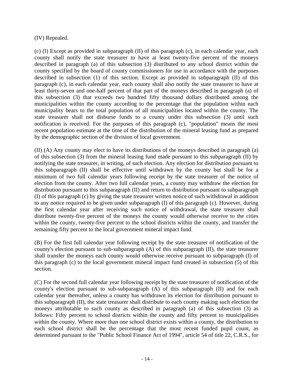(IV) Repealed.

(c) (I) Except as provided in subparagraph (II) of this paragraph (c), in each calendar year, each county shall notify the state treasurer to have at least twenty-five percent of the moneys described in paragraph (a) of this subsection (3) distributed to any school district within the county specified by the board of county commissioners for use in accordance with the purposes described in subsection (1) of this section. Except as provided in subparagraph (II) of this paragraph (c), in each calendar year, each county shall also notify the state treasurer to have at least thirty-seven and one-half percent of that part of the moneys described in paragraph (a) of this subsection (3) that exceeds two hundred fifty thousand dollars distributed among the municipalities within the county according to the percentage that the population within each municipality bears to the total population of all municipalities located within the county. The state treasurer shall not disburse funds to a county under this subsection (3) until such notification is received. For the purposes of this paragraph (c), "population" means the most recent population estimate at the time of the distribution of the mineral leasing fund as prepared by the demographic section of the division of local government.

(II) (A) Any county may elect to have its distributions of the moneys described in paragraph (a) of this subsection (3) from the mineral leasing fund made pursuant to this subparagraph (II) by notifying the state treasurer, in writing, of such election. Any election for distribution pursuant to this subparagraph (II) shall be effective until withdrawn by the county but shall be for a minimum of two full calendar years following receipt by the state treasurer of the notice of election from the county. After two full calendar years, a county may withdraw the election for distribution pursuant to this subparagraph (II) and return to distribution pursuant to subparagraph (I) of this paragraph (c) by giving the state treasurer written notice of such withdrawal in addition to any notice required to be given under subparagraph (I) of this paragraph (c). However, during the first calendar year after receiving such notice of withdrawal, the state treasurer shall distribute twenty-five percent of the moneys the county would otherwise receive to the cities within the county, twenty-five percent to the school districts within the county, and transfer the remaining fifty percent to the local government mineral impact fund.

(B) For the first full calendar year following receipt by the state treasurer of notification of the county's election pursuant to sub-subparagraph (A) of this subparagraph (II), the state treasurer shall transfer the moneys each county would otherwise receive pursuant to subparagraph (I) of this paragraph (c) to the local government mineral impact fund created in subsection (5) of this section.

(C) For the second full calendar year following receipt by the state treasurer of notification of the county's election pursuant to sub-subparagraph (A) of this subparagraph (II) and for each calendar year thereafter, unless a county has withdrawn its election for distribution pursuant to this subparagraph (II), the state treasurer shall distribute to each county making such election the moneys attributable to such county as described in paragraph (a) of this subsection (3) as follows: Fifty percent to school districts within the county and fifty percent to municipalities within the county. Where more than one school district exists within a county, the distribution to each school district shall be the percentage that the most recent funded pupil count, as determined pursuant to the "Public School Finance Act of 1994", article 54 of title 22, C.R.S., for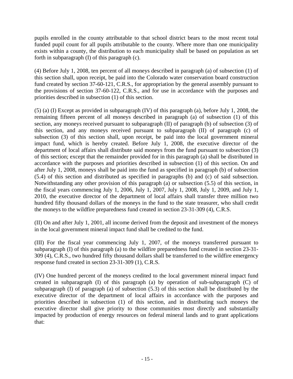pupils enrolled in the county attributable to that school district bears to the most recent total funded pupil count for all pupils attributable to the county. Where more than one municipality exists within a county, the distribution to each municipality shall be based on population as set forth in subparagraph (I) of this paragraph (c).

(4) Before July 1, 2008, ten percent of all moneys described in paragraph (a) of subsection (1) of this section shall, upon receipt, be paid into the Colorado water conservation board construction fund created by section 37-60-121, C.R.S., for appropriation by the general assembly pursuant to the provisions of section 37-60-122, C.R.S., and for use in accordance with the purposes and priorities described in subsection (1) of this section.

(5) (a) (I) Except as provided in subparagraph (IV) of this paragraph (a), before July 1, 2008, the remaining fifteen percent of all moneys described in paragraph (a) of subsection (1) of this section, any moneys received pursuant to subparagraph (II) of paragraph (b) of subsection (3) of this section, and any moneys received pursuant to subparagraph (II) of paragraph (c) of subsection (3) of this section shall, upon receipt, be paid into the local government mineral impact fund, which is hereby created. Before July 1, 2008, the executive director of the department of local affairs shall distribute said moneys from the fund pursuant to subsection (3) of this section; except that the remainder provided for in this paragraph (a) shall be distributed in accordance with the purposes and priorities described in subsection (1) of this section. On and after July 1, 2008, moneys shall be paid into the fund as specified in paragraph (b) of subsection (5.4) of this section and distributed as specified in paragraphs (b) and (c) of said subsection. Notwithstanding any other provision of this paragraph (a) or subsection (5.5) of this section, in the fiscal years commencing July 1, 2006, July 1, 2007, July 1, 2008, July 1, 2009, and July 1, 2010, the executive director of the department of local affairs shall transfer three million two hundred fifty thousand dollars of the moneys in the fund to the state treasurer, who shall credit the moneys to the wildfire preparedness fund created in section 23-31-309 (4), C.R.S.

(II) On and after July 1, 2001, all income derived from the deposit and investment of the moneys in the local government mineral impact fund shall be credited to the fund.

(III) For the fiscal year commencing July 1, 2007, of the moneys transferred pursuant to subparagraph (I) of this paragraph (a) to the wildfire preparedness fund created in section 23-31- 309 (4), C.R.S., two hundred fifty thousand dollars shall be transferred to the wildfire emergency response fund created in section 23-31-309 (1), C.R.S.

(IV) One hundred percent of the moneys credited to the local government mineral impact fund created in subparagraph (I) of this paragraph (a) by operation of sub-subparagraph (C) of subparagraph (I) of paragraph (a) of subsection (5.3) of this section shall be distributed by the executive director of the department of local affairs in accordance with the purposes and priorities described in subsection (1) of this section, and in distributing such moneys the executive director shall give priority to those communities most directly and substantially impacted by production of energy resources on federal mineral lands and to grant applications that: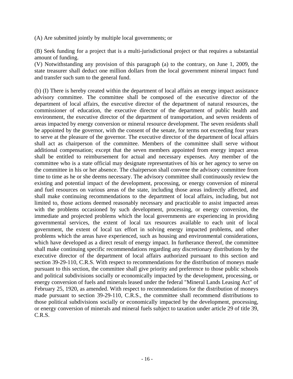(A) Are submitted jointly by multiple local governments; or

(B) Seek funding for a project that is a multi-jurisdictional project or that requires a substantial amount of funding.

(V) Notwithstanding any provision of this paragraph (a) to the contrary, on June 1, 2009, the state treasurer shall deduct one million dollars from the local government mineral impact fund and transfer such sum to the general fund.

(b) (I) There is hereby created within the department of local affairs an energy impact assistance advisory committee. The committee shall be composed of the executive director of the department of local affairs, the executive director of the department of natural resources, the commissioner of education, the executive director of the department of public health and environment, the executive director of the department of transportation, and seven residents of areas impacted by energy conversion or mineral resource development. The seven residents shall be appointed by the governor, with the consent of the senate, for terms not exceeding four years to serve at the pleasure of the governor. The executive director of the department of local affairs shall act as chairperson of the committee. Members of the committee shall serve without additional compensation; except that the seven members appointed from energy impact areas shall be entitled to reimbursement for actual and necessary expenses. Any member of the committee who is a state official may designate representatives of his or her agency to serve on the committee in his or her absence. The chairperson shall convene the advisory committee from time to time as he or she deems necessary. The advisory committee shall continuously review the existing and potential impact of the development, processing, or energy conversion of mineral and fuel resources on various areas of the state, including those areas indirectly affected, and shall make continuing recommendations to the department of local affairs, including, but not limited to, those actions deemed reasonably necessary and practicable to assist impacted areas with the problems occasioned by such development, processing, or energy conversion, the immediate and projected problems which the local governments are experiencing in providing governmental services, the extent of local tax resources available to each unit of local government, the extent of local tax effort in solving energy impacted problems, and other problems which the areas have experienced, such as housing and environmental considerations, which have developed as a direct result of energy impact. In furtherance thereof, the committee shall make continuing specific recommendations regarding any discretionary distributions by the executive director of the department of local affairs authorized pursuant to this section and section 39-29-110, C.R.S. With respect to recommendations for the distribution of moneys made pursuant to this section, the committee shall give priority and preference to those public schools and political subdivisions socially or economically impacted by the development, processing, or energy conversion of fuels and minerals leased under the federal "Mineral Lands Leasing Act" of February 25, 1920, as amended. With respect to recommendations for the distribution of moneys made pursuant to section 39-29-110, C.R.S., the committee shall recommend distributions to those political subdivisions socially or economically impacted by the development, processing, or energy conversion of minerals and mineral fuels subject to taxation under article 29 of title 39, C.R.S.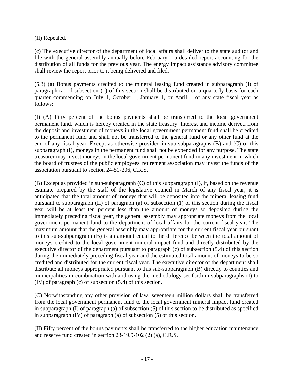(II) Repealed.

(c) The executive director of the department of local affairs shall deliver to the state auditor and file with the general assembly annually before February 1 a detailed report accounting for the distribution of all funds for the previous year. The energy impact assistance advisory committee shall review the report prior to it being delivered and filed.

(5.3) (a) Bonus payments credited to the mineral leasing fund created in subparagraph (I) of paragraph (a) of subsection (1) of this section shall be distributed on a quarterly basis for each quarter commencing on July 1, October 1, January 1, or April 1 of any state fiscal year as follows:

(I) (A) Fifty percent of the bonus payments shall be transferred to the local government permanent fund, which is hereby created in the state treasury. Interest and income derived from the deposit and investment of moneys in the local government permanent fund shall be credited to the permanent fund and shall not be transferred to the general fund or any other fund at the end of any fiscal year. Except as otherwise provided in sub-subparagraphs (B) and (C) of this subparagraph (I), moneys in the permanent fund shall not be expended for any purpose. The state treasurer may invest moneys in the local government permanent fund in any investment in which the board of trustees of the public employees' retirement association may invest the funds of the association pursuant to section 24-51-206, C.R.S.

(B) Except as provided in sub-subparagraph (C) of this subparagraph (I), if, based on the revenue estimate prepared by the staff of the legislative council in March of any fiscal year, it is anticipated that the total amount of moneys that will be deposited into the mineral leasing fund pursuant to subparagraph (II) of paragraph (a) of subsection (1) of this section during the fiscal year will be at least ten percent less than the amount of moneys so deposited during the immediately preceding fiscal year, the general assembly may appropriate moneys from the local government permanent fund to the department of local affairs for the current fiscal year. The maximum amount that the general assembly may appropriate for the current fiscal year pursuant to this sub-subparagraph (B) is an amount equal to the difference between the total amount of moneys credited to the local government mineral impact fund and directly distributed by the executive director of the department pursuant to paragraph (c) of subsection (5.4) of this section during the immediately preceding fiscal year and the estimated total amount of moneys to be so credited and distributed for the current fiscal year. The executive director of the department shall distribute all moneys appropriated pursuant to this sub-subparagraph (B) directly to counties and municipalities in combination with and using the methodology set forth in subparagraphs (I) to (IV) of paragraph (c) of subsection (5.4) of this section.

(C) Notwithstanding any other provision of law, seventeen million dollars shall be transferred from the local government permanent fund to the local government mineral impact fund created in subparagraph (I) of paragraph (a) of subsection (5) of this section to be distributed as specified in subparagraph (IV) of paragraph (a) of subsection (5) of this section.

(II) Fifty percent of the bonus payments shall be transferred to the higher education maintenance and reserve fund created in section 23-19.9-102 (2) (a), C.R.S.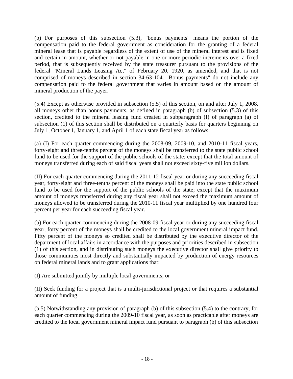(b) For purposes of this subsection (5.3), "bonus payments" means the portion of the compensation paid to the federal government as consideration for the granting of a federal mineral lease that is payable regardless of the extent of use of the mineral interest and is fixed and certain in amount, whether or not payable in one or more periodic increments over a fixed period, that is subsequently received by the state treasurer pursuant to the provisions of the federal "Mineral Lands Leasing Act" of February 20, 1920, as amended, and that is not comprised of moneys described in section 34-63-104. "Bonus payments" do not include any compensation paid to the federal government that varies in amount based on the amount of mineral production of the payer.

(5.4) Except as otherwise provided in subsection (5.5) of this section, on and after July 1, 2008, all moneys other than bonus payments, as defined in paragraph (b) of subsection (5.3) of this section, credited to the mineral leasing fund created in subparagraph (I) of paragraph (a) of subsection (1) of this section shall be distributed on a quarterly basis for quarters beginning on July 1, October 1, January 1, and April 1 of each state fiscal year as follows:

(a) (I) For each quarter commencing during the 2008-09, 2009-10, and 2010-11 fiscal years, forty-eight and three-tenths percent of the moneys shall be transferred to the state public school fund to be used for the support of the public schools of the state; except that the total amount of moneys transferred during each of said fiscal years shall not exceed sixty-five million dollars.

(II) For each quarter commencing during the 2011-12 fiscal year or during any succeeding fiscal year, forty-eight and three-tenths percent of the moneys shall be paid into the state public school fund to be used for the support of the public schools of the state; except that the maximum amount of moneys transferred during any fiscal year shall not exceed the maximum amount of moneys allowed to be transferred during the 2010-11 fiscal year multiplied by one hundred four percent per year for each succeeding fiscal year.

(b) For each quarter commencing during the 2008-09 fiscal year or during any succeeding fiscal year, forty percent of the moneys shall be credited to the local government mineral impact fund. Fifty percent of the moneys so credited shall be distributed by the executive director of the department of local affairs in accordance with the purposes and priorities described in subsection (1) of this section, and in distributing such moneys the executive director shall give priority to those communities most directly and substantially impacted by production of energy resources on federal mineral lands and to grant applications that:

(I) Are submitted jointly by multiple local governments; or

(II) Seek funding for a project that is a multi-jurisdictional project or that requires a substantial amount of funding.

(b.5) Notwithstanding any provision of paragraph (b) of this subsection (5.4) to the contrary, for each quarter commencing during the 2009-10 fiscal year, as soon as practicable after moneys are credited to the local government mineral impact fund pursuant to paragraph (b) of this subsection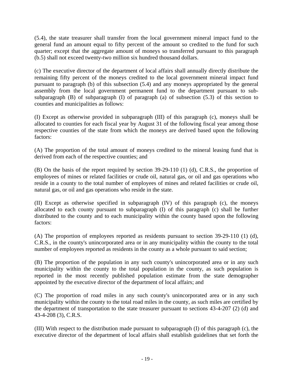(5.4), the state treasurer shall transfer from the local government mineral impact fund to the general fund an amount equal to fifty percent of the amount so credited to the fund for such quarter; except that the aggregate amount of moneys so transferred pursuant to this paragraph (b.5) shall not exceed twenty-two million six hundred thousand dollars.

(c) The executive director of the department of local affairs shall annually directly distribute the remaining fifty percent of the moneys credited to the local government mineral impact fund pursuant to paragraph (b) of this subsection (5.4) and any moneys appropriated by the general assembly from the local government permanent fund to the department pursuant to subsubparagraph (B) of subparagraph (I) of paragraph (a) of subsection (5.3) of this section to counties and municipalities as follows:

(I) Except as otherwise provided in subparagraph (III) of this paragraph (c), moneys shall be allocated to counties for each fiscal year by August 31 of the following fiscal year among those respective counties of the state from which the moneys are derived based upon the following factors:

(A) The proportion of the total amount of moneys credited to the mineral leasing fund that is derived from each of the respective counties; and

(B) On the basis of the report required by section 39-29-110 (1) (d), C.R.S., the proportion of employees of mines or related facilities or crude oil, natural gas, or oil and gas operations who reside in a county to the total number of employees of mines and related facilities or crude oil, natural gas, or oil and gas operations who reside in the state.

(II) Except as otherwise specified in subparagraph (IV) of this paragraph (c), the moneys allocated to each county pursuant to subparagraph (I) of this paragraph (c) shall be further distributed to the county and to each municipality within the county based upon the following factors:

(A) The proportion of employees reported as residents pursuant to section 39-29-110 (1) (d), C.R.S., in the county's unincorporated area or in any municipality within the county to the total number of employees reported as residents in the county as a whole pursuant to said section;

(B) The proportion of the population in any such county's unincorporated area or in any such municipality within the county to the total population in the county, as such population is reported in the most recently published population estimate from the state demographer appointed by the executive director of the department of local affairs; and

(C) The proportion of road miles in any such county's unincorporated area or in any such municipality within the county to the total road miles in the county, as such miles are certified by the department of transportation to the state treasurer pursuant to sections 43-4-207 (2) (d) and 43-4-208 (3), C.R.S.

(III) With respect to the distribution made pursuant to subparagraph (I) of this paragraph (c), the executive director of the department of local affairs shall establish guidelines that set forth the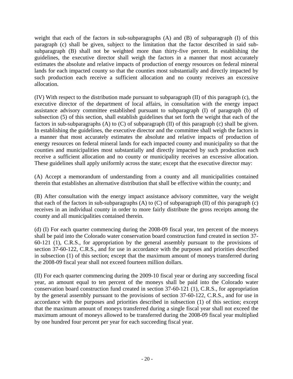weight that each of the factors in sub-subparagraphs (A) and (B) of subparagraph (I) of this paragraph (c) shall be given, subject to the limitation that the factor described in said subsubparagraph (B) shall not be weighted more than thirty-five percent. In establishing the guidelines, the executive director shall weigh the factors in a manner that most accurately estimates the absolute and relative impacts of production of energy resources on federal mineral lands for each impacted county so that the counties most substantially and directly impacted by such production each receive a sufficient allocation and no county receives an excessive allocation.

(IV) With respect to the distribution made pursuant to subparagraph (II) of this paragraph (c), the executive director of the department of local affairs, in consultation with the energy impact assistance advisory committee established pursuant to subparagraph (I) of paragraph (b) of subsection (5) of this section, shall establish guidelines that set forth the weight that each of the factors in sub-subparagraphs (A) to (C) of subparagraph (II) of this paragraph (c) shall be given. In establishing the guidelines, the executive director and the committee shall weigh the factors in a manner that most accurately estimates the absolute and relative impacts of production of energy resources on federal mineral lands for each impacted county and municipality so that the counties and municipalities most substantially and directly impacted by such production each receive a sufficient allocation and no county or municipality receives an excessive allocation. These guidelines shall apply uniformly across the state; except that the executive director may:

(A) Accept a memorandum of understanding from a county and all municipalities contained therein that establishes an alternative distribution that shall be effective within the county; and

(B) After consultation with the energy impact assistance advisory committee, vary the weight that each of the factors in sub-subparagraphs (A) to  $(C)$  of subparagraph (II) of this paragraph (c) receives in an individual county in order to more fairly distribute the gross receipts among the county and all municipalities contained therein.

(d) (I) For each quarter commencing during the 2008-09 fiscal year, ten percent of the moneys shall be paid into the Colorado water conservation board construction fund created in section 37- 60-121 (1), C.R.S., for appropriation by the general assembly pursuant to the provisions of section 37-60-122, C.R.S., and for use in accordance with the purposes and priorities described in subsection (1) of this section; except that the maximum amount of moneys transferred during the 2008-09 fiscal year shall not exceed fourteen million dollars.

(II) For each quarter commencing during the 2009-10 fiscal year or during any succeeding fiscal year, an amount equal to ten percent of the moneys shall be paid into the Colorado water conservation board construction fund created in section 37-60-121 (1), C.R.S., for appropriation by the general assembly pursuant to the provisions of section 37-60-122, C.R.S., and for use in accordance with the purposes and priorities described in subsection (1) of this section; except that the maximum amount of moneys transferred during a single fiscal year shall not exceed the maximum amount of moneys allowed to be transferred during the 2008-09 fiscal year multiplied by one hundred four percent per year for each succeeding fiscal year.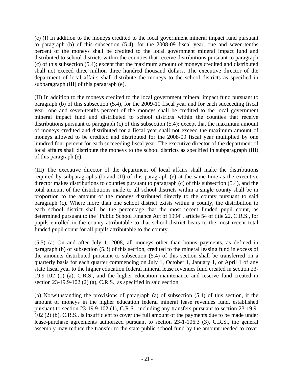(e) (I) In addition to the moneys credited to the local government mineral impact fund pursuant to paragraph (b) of this subsection (5.4), for the 2008-09 fiscal year, one and seven-tenths percent of the moneys shall be credited to the local government mineral impact fund and distributed to school districts within the counties that receive distributions pursuant to paragraph (c) of this subsection (5.4); except that the maximum amount of moneys credited and distributed shall not exceed three million three hundred thousand dollars. The executive director of the department of local affairs shall distribute the moneys to the school districts as specified in subparagraph (III) of this paragraph (e).

(II) In addition to the moneys credited to the local government mineral impact fund pursuant to paragraph (b) of this subsection (5.4), for the 2009-10 fiscal year and for each succeeding fiscal year, one and seven-tenths percent of the moneys shall be credited to the local government mineral impact fund and distributed to school districts within the counties that receive distributions pursuant to paragraph (c) of this subsection (5.4); except that the maximum amount of moneys credited and distributed for a fiscal year shall not exceed the maximum amount of moneys allowed to be credited and distributed for the 2008-09 fiscal year multiplied by one hundred four percent for each succeeding fiscal year. The executive director of the department of local affairs shall distribute the moneys to the school districts as specified in subparagraph (III) of this paragraph (e).

(III) The executive director of the department of local affairs shall make the distributions required by subparagraphs (I) and (II) of this paragraph (e) at the same time as the executive director makes distributions to counties pursuant to paragraph (c) of this subsection (5.4), and the total amount of the distributions made to all school districts within a single county shall be in proportion to the amount of the moneys distributed directly to the county pursuant to said paragraph (c). Where more than one school district exists within a county, the distribution to each school district shall be the percentage that the most recent funded pupil count, as determined pursuant to the "Public School Finance Act of 1994", article 54 of title 22, C.R.S., for pupils enrolled in the county attributable to that school district bears to the most recent total funded pupil count for all pupils attributable to the county.

(5.5) (a) On and after July 1, 2008, all moneys other than bonus payments, as defined in paragraph (b) of subsection (5.3) of this section, credited to the mineral leasing fund in excess of the amounts distributed pursuant to subsection (5.4) of this section shall be transferred on a quarterly basis for each quarter commencing on July 1, October 1, January 1, or April 1 of any state fiscal year to the higher education federal mineral lease revenues fund created in section 23- 19.9-102 (1) (a), C.R.S., and the higher education maintenance and reserve fund created in section 23-19.9-102 (2) (a), C.R.S., as specified in said section.

(b) Notwithstanding the provisions of paragraph (a) of subsection (5.4) of this section, if the amount of moneys in the higher education federal mineral lease revenues fund, established pursuant to section 23-19.9-102 (1), C.R.S., including any transfers pursuant to section 23-19.9- 102 (2) (b), C.R.S., is insufficient to cover the full amount of the payments due to be made under lease-purchase agreements authorized pursuant to section 23-1-106.3 (3), C.R.S., the general assembly may reduce the transfer to the state public school fund by the amount needed to cover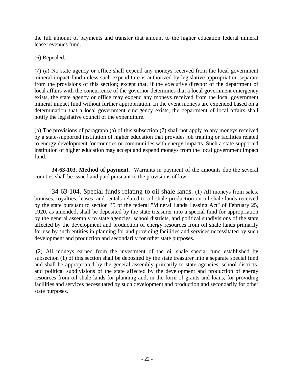the full amount of payments and transfer that amount to the higher education federal mineral lease revenues fund.

(6) Repealed.

(7) (a) No state agency or office shall expend any moneys received from the local government mineral impact fund unless such expenditure is authorized by legislative appropriation separate from the provisions of this section; except that, if the executive director of the department of local affairs with the concurrence of the governor determines that a local government emergency exists, the state agency or office may expend any moneys received from the local government mineral impact fund without further appropriation. In the event moneys are expended based on a determination that a local government emergency exists, the department of local affairs shall notify the legislative council of the expenditure.

(b) The provisions of paragraph (a) of this subsection (7) shall not apply to any moneys received by a state-supported institution of higher education that provides job training or facilities related to energy development for counties or communities with energy impacts. Such a state-supported institution of higher education may accept and expend moneys from the local government impact fund.

**34-63-103. Method of payment.** Warrants in payment of the amounts due the several counties shall be issued and paid pursuant to the provisions of law.

34-63-104. Special funds relating to oil shale lands. (1) All moneys from sales, bonuses, royalties, leases, and rentals related to oil shale production on oil shale lands received by the state pursuant to section 35 of the federal "Mineral Lands Leasing Act" of February 25, 1920, as amended, shall be deposited by the state treasurer into a special fund for appropriation by the general assembly to state agencies, school districts, and political subdivisions of the state affected by the development and production of energy resources from oil shale lands primarily for use by such entities in planning for and providing facilities and services necessitated by such development and production and secondarily for other state purposes.

 (2) All moneys earned from the investment of the oil shale special fund established by subsection (1) of this section shall be deposited by the state treasurer into a separate special fund and shall be appropriated by the general assembly primarily to state agencies, school districts, and political subdivisions of the state affected by the development and production of energy resources from oil shale lands for planning and, in the form of grants and loans, for providing facilities and services necessitated by such development and production and secondarily for other state purposes.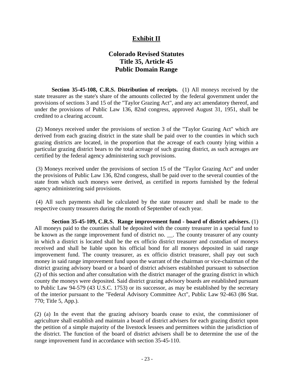### **Exhibit II**

### **Colorado Revised Statutes Title 35, Article 45 Public Domain Range**

**Section 35-45-108, C.R.S. Distribution of receipts.** (1) All moneys received by the state treasurer as the state's share of the amounts collected by the federal government under the provisions of sections 3 and 15 of the "Taylor Grazing Act", and any act amendatory thereof, and under the provisions of Public Law 136, 82nd congress, approved August 31, 1951, shall be credited to a clearing account.

 (2) Moneys received under the provisions of section 3 of the "Taylor Grazing Act" which are derived from each grazing district in the state shall be paid over to the counties in which such grazing districts are located, in the proportion that the acreage of each county lying within a particular grazing district bears to the total acreage of such grazing district, as such acreages are certified by the federal agency administering such provisions.

 (3) Moneys received under the provisions of section 15 of the "Taylor Grazing Act" and under the provisions of Public Law 136, 82nd congress, shall be paid over to the several counties of the state from which such moneys were derived, as certified in reports furnished by the federal agency administering said provisions.

 (4) All such payments shall be calculated by the state treasurer and shall be made to the respective county treasurers during the month of September of each year.

**Section 35-45-109, C.R.S. Range improvement fund - board of district advisers.** (1) All moneys paid to the counties shall be deposited with the county treasurer in a special fund to be known as the range improvement fund of district no. \_\_. The county treasurer of any county in which a district is located shall be the ex officio district treasurer and custodian of moneys received and shall be liable upon his official bond for all moneys deposited in said range improvement fund. The county treasurer, as ex officio district treasurer, shall pay out such money in said range improvement fund upon the warrant of the chairman or vice-chairman of the district grazing advisory board or a board of district advisers established pursuant to subsection (2) of this section and after consultation with the district manager of the grazing district in which county the moneys were deposited. Said district grazing advisory boards are established pursuant to Public Law 94-579 (43 U.S.C. 1753) or its successor, as may be established by the secretary of the interior pursuant to the "Federal Advisory Committee Act", Public Law 92-463 (86 Stat. 770; Title 5, App.).

(2) (a) In the event that the grazing advisory boards cease to exist, the commissioner of agriculture shall establish and maintain a board of district advisers for each grazing district upon the petition of a simple majority of the livestock lessees and permittees within the jurisdiction of the district. The function of the board of district advisers shall be to determine the use of the range improvement fund in accordance with section 35-45-110.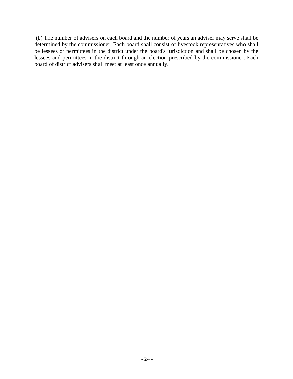(b) The number of advisers on each board and the number of years an adviser may serve shall be determined by the commissioner. Each board shall consist of livestock representatives who shall be lessees or permittees in the district under the board's jurisdiction and shall be chosen by the lessees and permittees in the district through an election prescribed by the commissioner. Each board of district advisers shall meet at least once annually.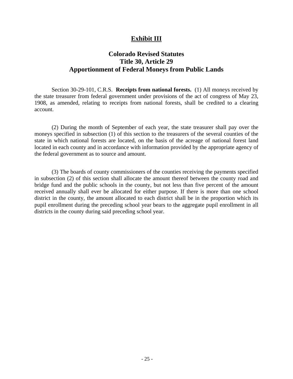#### **Exhibit III**

### **Colorado Revised Statutes Title 30, Article 29 Apportionment of Federal Moneys from Public Lands**

 Section 30-29-101, C.R.S. **Receipts from national forests.** (1) All moneys received by the state treasurer from federal government under provisions of the act of congress of May 23, 1908, as amended, relating to receipts from national forests, shall be credited to a clearing account.

 (2) During the month of September of each year, the state treasurer shall pay over the moneys specified in subsection (1) of this section to the treasurers of the several counties of the state in which national forests are located, on the basis of the acreage of national forest land located in each county and in accordance with information provided by the appropriate agency of the federal government as to source and amount.

 (3) The boards of county commissioners of the counties receiving the payments specified in subsection (2) of this section shall allocate the amount thereof between the county road and bridge fund and the public schools in the county, but not less than five percent of the amount received annually shall ever be allocated for either purpose. If there is more than one school district in the county, the amount allocated to each district shall be in the proportion which its pupil enrollment during the preceding school year bears to the aggregate pupil enrollment in all districts in the county during said preceding school year.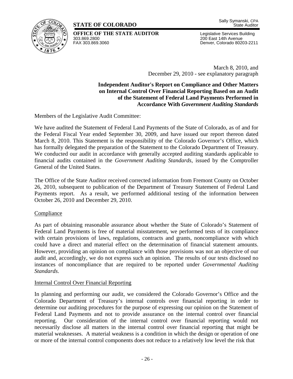### **STATE OF COLORADO**



**OFFICE OF THE STATE AUDITOR** Legislative Services Building<br>303 869 2800<br>200 Fast 14th Avenue 303.869.2800 200 East 14th Avenue

Denver, Colorado 80203-2211

March 8, 2010, and December 29, 2010 - see explanatory paragraph

**Independent Auditor's Report on Compliance and Other Matters on Internal Control Over Financial Reporting Based on an Audit of the Statement of Federal Land Payments Performed in Accordance With** *Government Auditing Standards* 

Members of the Legislative Audit Committee:

We have audited the Statement of Federal Land Payments of the State of Colorado, as of and for the Federal Fiscal Year ended September 30, 2009, and have issued our report thereon dated March 8, 2010. This Statement is the responsibility of the Colorado Governor's Office, which has formally delegated the preparation of the Statement to the Colorado Department of Treasury. We conducted our audit in accordance with generally accepted auditing standards applicable to financial audits contained in the *Government Auditing Standards*, issued by the Comptroller General of the United States.

The Office of the State Auditor received corrected information from Fremont County on October 26, 2010, subsequent to publication of the Department of Treasury Statement of Federal Land Payments report. As a result, we performed additional testing of the information between October 26, 2010 and December 29, 2010.

#### Compliance

As part of obtaining reasonable assurance about whether the State of Colorado's Statement of Federal Land Payments is free of material misstatement, we performed tests of its compliance with certain provisions of laws, regulations, contracts and grants, noncompliance with which could have a direct and material effect on the determination of financial statement amounts. However, providing an opinion on compliance with those provisions was not an objective of our audit and, accordingly, we do not express such an opinion. The results of our tests disclosed no instances of noncompliance that are required to be reported under *Governmental Auditing Standards*.

#### Internal Control Over Financial Reporting

In planning and performing our audit, we considered the Colorado Governor's Office and the Colorado Department of Treasury's internal controls over financial reporting in order to determine our auditing procedures for the purpose of expressing our opinion on the Statement of Federal Land Payments and not to provide assurance on the internal control over financial reporting. Our consideration of the internal control over financial reporting would not necessarily disclose all matters in the internal control over financial reporting that might be material weaknesses. A material weakness is a condition in which the design or operation of one or more of the internal control components does not reduce to a relatively low level the risk that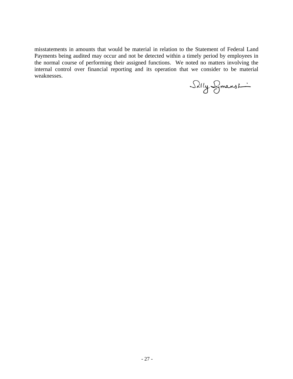misstatements in amounts that would be material in relation to the Statement of Federal Land Payments being audited may occur and not be detected within a timely period by employees in the normal course of performing their assigned functions. We noted no matters involving the internal control over financial reporting and its operation that we consider to be material weaknesses.

Silly Symanst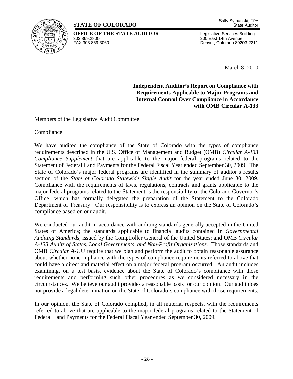### **STATE OF COLORADO**

**OFFICE OF THE STATE AUDITOR** Legislative Services Building<br>303 869 2800<br>200 Fast 14th Avenue 303.869.2800 200 East 14th Avenue

Denver, Colorado 80203-2211

March 8, 2010

**Independent Auditor's Report on Compliance with Requirements Applicable to Major Programs and Internal Control Over Compliance in Accordance with OMB Circular A-133** 

Members of the Legislative Audit Committee:

**Compliance** 

We have audited the compliance of the State of Colorado with the types of compliance requirements described in the U.S. Office of Management and Budget (OMB) *Circular A-133 Compliance Supplement* that are applicable to the major federal programs related to the Statement of Federal Land Payments for the Federal Fiscal Year ended September 30, 2009. The State of Colorado's major federal programs are identified in the summary of auditor's results section of the *State of Colorado Statewide Single Audit* for the year ended June 30, 2009. Compliance with the requirements of laws, regulations, contracts and grants applicable to the major federal programs related to the Statement is the responsibility of the Colorado Governor's Office, which has formally delegated the preparation of the Statement to the Colorado Department of Treasury. Our responsibility is to express an opinion on the State of Colorado's compliance based on our audit.

We conducted our audit in accordance with auditing standards generally accepted in the United States of America; the standards applicable to financial audits contained in *Governmental Auditing Standards,* issued by the Comptroller General of the United States; and OMB *Circular A-133 Audits of States, Local Governments, and Non-Profit Organizations.* Those standards and OMB *Circular A-133* require that we plan and perform the audit to obtain reasonable assurance about whether noncompliance with the types of compliance requirements referred to above that could have a direct and material effect on a major federal program occurred. An audit includes examining, on a test basis, evidence about the State of Colorado's compliance with those requirements and performing such other procedures as we considered necessary in the circumstances. We believe our audit provides a reasonable basis for our opinion. Our audit does not provide a legal determination on the State of Colorado's compliance with those requirements.

In our opinion, the State of Colorado complied, in all material respects, with the requirements referred to above that are applicable to the major federal programs related to the Statement of Federal Land Payments for the Federal Fiscal Year ended September 30, 2009.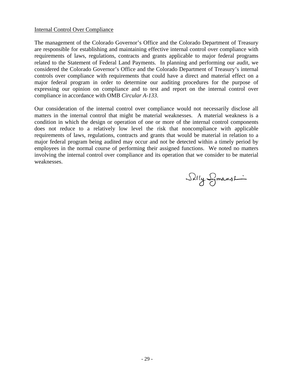#### Internal Control Over Compliance

The management of the Colorado Governor's Office and the Colorado Department of Treasury are responsible for establishing and maintaining effective internal control over compliance with requirements of laws, regulations, contracts and grants applicable to major federal programs related to the Statement of Federal Land Payments. In planning and performing our audit, we considered the Colorado Governor's Office and the Colorado Department of Treasury's internal controls over compliance with requirements that could have a direct and material effect on a major federal program in order to determine our auditing procedures for the purpose of expressing our opinion on compliance and to test and report on the internal control over compliance in accordance with OMB *Circular A-133*.

Our consideration of the internal control over compliance would not necessarily disclose all matters in the internal control that might be material weaknesses. A material weakness is a condition in which the design or operation of one or more of the internal control components does not reduce to a relatively low level the risk that noncompliance with applicable requirements of laws, regulations, contracts and grants that would be material in relation to a major federal program being audited may occur and not be detected within a timely period by employees in the normal course of performing their assigned functions. We noted no matters involving the internal control over compliance and its operation that we consider to be material weaknesses.

Silly Smanshi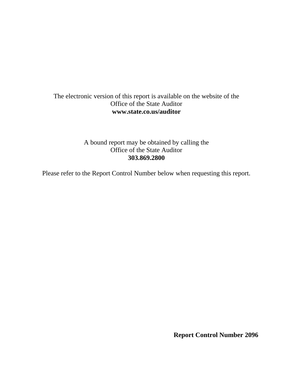#### The electronic version of this report is available on the website of the Office of the State Auditor **www.state.co.us/auditor**

A bound report may be obtained by calling the Office of the State Auditor **303.869.2800**

Please refer to the Report Control Number below when requesting this report.

**Report Control Number 2096**